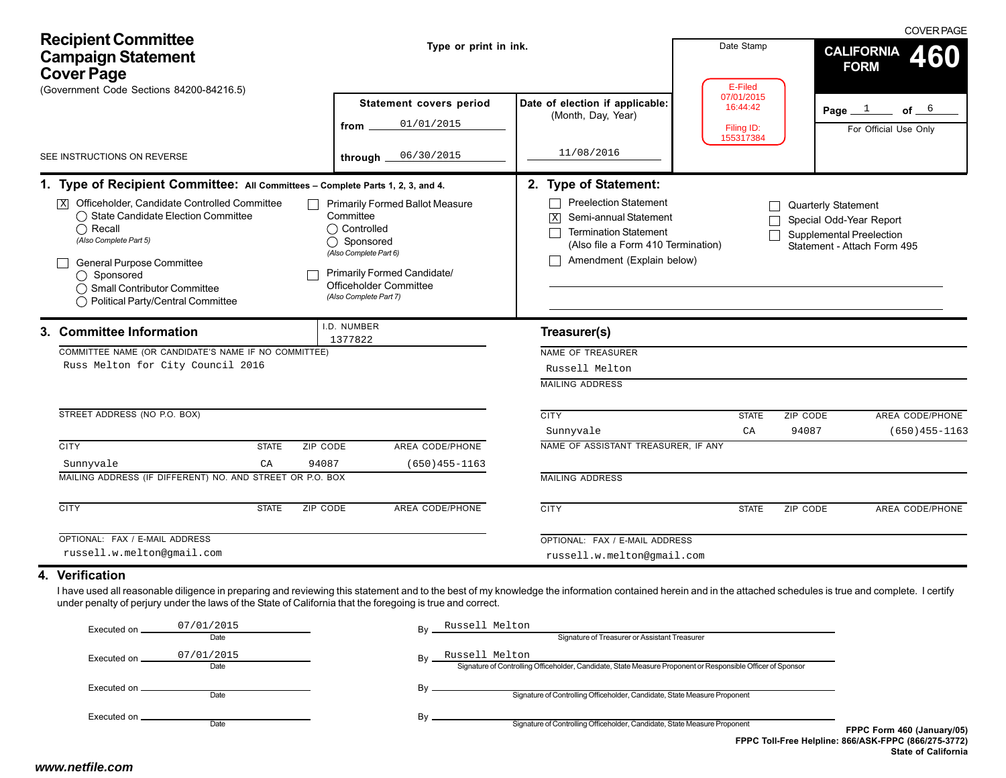| <b>Recipient Committee</b><br><b>Campaign Statement</b><br><b>Cover Page</b>                                                                                                                                                                                                                                                                   | Type or print in ink.                                                                                                                                                                                  |                                                                                                                                                                             | Date Stamp<br>E-Filed                             | <b>COVER PAGE</b><br><b>CALIFORNIA</b><br>60<br><b>FORM</b>                                                             |
|------------------------------------------------------------------------------------------------------------------------------------------------------------------------------------------------------------------------------------------------------------------------------------------------------------------------------------------------|--------------------------------------------------------------------------------------------------------------------------------------------------------------------------------------------------------|-----------------------------------------------------------------------------------------------------------------------------------------------------------------------------|---------------------------------------------------|-------------------------------------------------------------------------------------------------------------------------|
| (Government Code Sections 84200-84216.5)<br>SEE INSTRUCTIONS ON REVERSE                                                                                                                                                                                                                                                                        | <b>Statement covers period</b><br>01/01/2015<br>from<br>06/30/2015<br>through.                                                                                                                         | Date of election if applicable:<br>(Month, Day, Year)<br>11/08/2016                                                                                                         | 07/01/2015<br>16:44:42<br>Filing ID:<br>155317384 | of $6$<br>Page $1$<br>For Official Use Only                                                                             |
| 1. Type of Recipient Committee: All Committees - Complete Parts 1, 2, 3, and 4.                                                                                                                                                                                                                                                                |                                                                                                                                                                                                        | 2. Type of Statement:                                                                                                                                                       |                                                   |                                                                                                                         |
| $\boxed{\mathbf{X}}$ Officeholder, Candidate Controlled Committee<br>◯ State Candidate Election Committee<br>$\bigcap$ Recall<br>(Also Complete Part 5)<br>General Purpose Committee<br>$\bigcirc$ Sponsored<br>◯ Small Contributor Committee<br>◯ Political Party/Central Committee                                                           | <b>Primarily Formed Ballot Measure</b><br>Committee<br>◯ Controlled<br>◯ Sponsored<br>(Also Complete Part 6)<br><b>Primarily Formed Candidate/</b><br>Officeholder Committee<br>(Also Complete Part 7) | <b>Preelection Statement</b><br>Semi-annual Statement<br>$\vert X \vert$<br><b>Termination Statement</b><br>(Also file a Form 410 Termination)<br>Amendment (Explain below) |                                                   | <b>Quarterly Statement</b><br>Special Odd-Year Report<br><b>Supplemental Preelection</b><br>Statement - Attach Form 495 |
| 3. Committee Information                                                                                                                                                                                                                                                                                                                       | I.D. NUMBER<br>1377822                                                                                                                                                                                 | Treasurer(s)                                                                                                                                                                |                                                   |                                                                                                                         |
| COMMITTEE NAME (OR CANDIDATE'S NAME IF NO COMMITTEE)<br>Russ Melton for City Council 2016                                                                                                                                                                                                                                                      |                                                                                                                                                                                                        | NAME OF TREASURER<br>Russell Melton<br><b>MAILING ADDRESS</b>                                                                                                               |                                                   |                                                                                                                         |
| STREET ADDRESS (NO P.O. BOX)                                                                                                                                                                                                                                                                                                                   |                                                                                                                                                                                                        | <b>CITY</b><br>Sunnyvale                                                                                                                                                    | ZIP CODE<br><b>STATE</b><br>94087<br>CA           | AREA CODE/PHONE<br>$(650)455 - 1163$                                                                                    |
| <b>CITY</b><br>ZIP CODE<br><b>STATE</b><br>Sunnyvale<br>CA<br>94087<br>MAILING ADDRESS (IF DIFFERENT) NO. AND STREET OR P.O. BOX                                                                                                                                                                                                               | AREA CODE/PHONE<br>$(650)455 - 1163$                                                                                                                                                                   | NAME OF ASSISTANT TREASURER, IF ANY<br><b>MAILING ADDRESS</b>                                                                                                               |                                                   |                                                                                                                         |
| <b>CITY</b><br><b>STATE</b><br>ZIP CODE                                                                                                                                                                                                                                                                                                        | <b>AREA CODE/PHONE</b>                                                                                                                                                                                 | <b>CITY</b>                                                                                                                                                                 | ZIP CODE<br><b>STATE</b>                          | AREA CODE/PHONE                                                                                                         |
| OPTIONAL: FAX / E-MAIL ADDRESS<br>russell.w.melton@gmail.com                                                                                                                                                                                                                                                                                   |                                                                                                                                                                                                        | OPTIONAL: FAX / E-MAIL ADDRESS<br>russell.w.melton@gmail.com                                                                                                                |                                                   |                                                                                                                         |
| 4. Verification<br>I have used all reasonable diligence in preparing and reviewing this statement and to the best of my knowledge the information contained herein and in the attached schedules is true and complete. I certify<br>under penalty of perjury under the laws of the State of California that the foregoing is true and correct. |                                                                                                                                                                                                        |                                                                                                                                                                             |                                                   |                                                                                                                         |
| 07/01/2015<br>Executed on.<br>Date                                                                                                                                                                                                                                                                                                             | Russell Melton                                                                                                                                                                                         | Signature of Treasurer or Assistant Treasurer                                                                                                                               |                                                   |                                                                                                                         |
| 07/01/2015<br>Executed on.<br>Date                                                                                                                                                                                                                                                                                                             | Russell Melton                                                                                                                                                                                         | Signature of Controlling Officeholder, Candidate, State Measure Proponent or Responsible Officer of Sponsor                                                                 |                                                   |                                                                                                                         |
| Executed on _<br>Date                                                                                                                                                                                                                                                                                                                          | By                                                                                                                                                                                                     | Signature of Controlling Officeholder, Candidate, State Measure Proponent                                                                                                   |                                                   |                                                                                                                         |
| Executed on.<br>Date                                                                                                                                                                                                                                                                                                                           | By                                                                                                                                                                                                     | Signature of Controlling Officeholder, Candidate, State Measure Proponent                                                                                                   |                                                   | FPPC Form 460 (January/05)<br>FPPC Toll-Free Helpline: 866/ASK-FPPC (866/275-3772)<br><b>State of California</b>        |
| www.netfile.com                                                                                                                                                                                                                                                                                                                                |                                                                                                                                                                                                        |                                                                                                                                                                             |                                                   |                                                                                                                         |

## **4. Verification**

| Executed on _ | 07/01/2015                         | Bv | Russell Melton                                                                                              |                                                      |
|---------------|------------------------------------|----|-------------------------------------------------------------------------------------------------------------|------------------------------------------------------|
|               | Date                               |    | Signature of Treasurer or Assistant Treasurer                                                               |                                                      |
| Executed on _ | Russell Melton<br>07/01/2015<br>Bv |    |                                                                                                             |                                                      |
|               | Date                               |    | Signature of Controlling Officeholder, Candidate, State Measure Proponent or Responsible Officer of Sponsor |                                                      |
| Executed on . |                                    | Bv |                                                                                                             |                                                      |
|               | Date                               |    | Signature of Controlling Officeholder, Candidate, State Measure Proponent                                   |                                                      |
| Executed on _ |                                    | Bv |                                                                                                             |                                                      |
|               | Date                               |    | Signature of Controlling Officeholder, Candidate, State Measure Proponent                                   | FPPC Form 460 (January/05)                           |
|               |                                    |    |                                                                                                             | FPPC Toll-Free Helpline: 866/ASK-FPPC (866/275-3772) |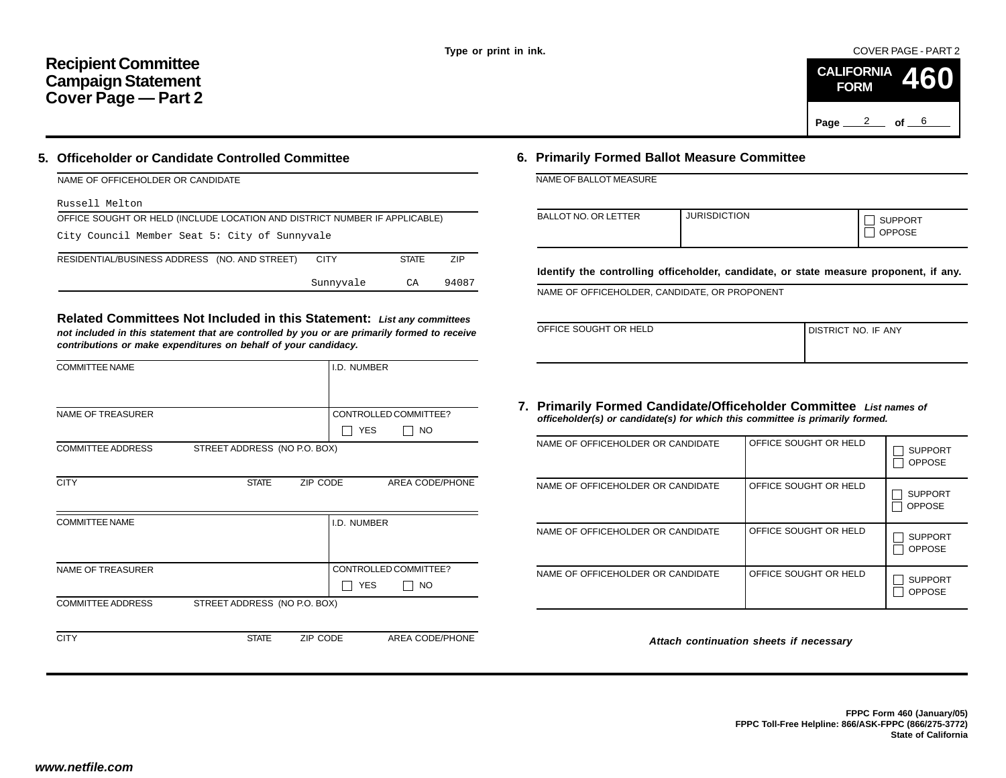COVER PAGE - PART 2



## **5. Officeholder or Candidate Controlled Committee**

| <b>INAME OF OFFICEROLDER OR CANDIDATE</b>                                  |             |              |            |  |  |  |  |
|----------------------------------------------------------------------------|-------------|--------------|------------|--|--|--|--|
| Russell Melton                                                             |             |              |            |  |  |  |  |
| OFFICE SOUGHT OR HELD (INCLUDE LOCATION AND DISTRICT NUMBER IF APPLICABLE) |             |              |            |  |  |  |  |
| City Council Member Seat 5: City of Sunnyvale                              |             |              |            |  |  |  |  |
| RESIDENTIAL/BUSINESS ADDRESS (NO. AND STREET)                              | <b>CITY</b> | <b>STATE</b> | <b>ZIP</b> |  |  |  |  |
|                                                                            | Sunnyvale   | СA           | 94087      |  |  |  |  |

|                                                                                                                                                                                                                                           |                                                   |                                                                                                                                                                                          |                     |                                            | Page                  | 2<br>of $\rule{1em}{0.15mm}$  |
|-------------------------------------------------------------------------------------------------------------------------------------------------------------------------------------------------------------------------------------------|---------------------------------------------------|------------------------------------------------------------------------------------------------------------------------------------------------------------------------------------------|---------------------|--------------------------------------------|-----------------------|-------------------------------|
| Officeholder or Candidate Controlled Committee                                                                                                                                                                                            |                                                   | 6. Primarily Formed Ballot Measure Committee                                                                                                                                             |                     |                                            |                       |                               |
| NAME OF OFFICEHOLDER OR CANDIDATE                                                                                                                                                                                                         |                                                   | NAME OF BALLOT MEASURE                                                                                                                                                                   |                     |                                            |                       |                               |
| Russell Melton                                                                                                                                                                                                                            |                                                   |                                                                                                                                                                                          |                     |                                            |                       |                               |
| OFFICE SOUGHT OR HELD (INCLUDE LOCATION AND DISTRICT NUMBER IF APPLICABLE)<br>City Council Member Seat 5: City of Sunnyvale                                                                                                               |                                                   | <b>BALLOT NO. OR LETTER</b>                                                                                                                                                              | <b>JURISDICTION</b> |                                            |                       | <b>SUPPORT</b><br>OPPOSE      |
| RESIDENTIAL/BUSINESS ADDRESS (NO. AND STREET)                                                                                                                                                                                             | <b>CITY</b><br><b>STATE</b><br>ZIP                | Identify the controlling officeholder, candidate, or state measure proponent,                                                                                                            |                     |                                            |                       |                               |
|                                                                                                                                                                                                                                           | Sunnyvale<br>CA<br>94087                          | NAME OF OFFICEHOLDER, CANDIDATE, OR PROPONENT                                                                                                                                            |                     |                                            |                       |                               |
| Related Committees Not Included in this Statement: List any committees<br>not included in this statement that are controlled by you or are primarily formed to receive<br>contributions or make expenditures on behalf of your candidacy. |                                                   | OFFICE SOUGHT OR HELD                                                                                                                                                                    |                     |                                            | DISTRICT NO. IF ANY   |                               |
| <b>COMMITTEE NAME</b>                                                                                                                                                                                                                     | I.D. NUMBER                                       |                                                                                                                                                                                          |                     |                                            |                       |                               |
| NAME OF TREASURER<br><b>COMMITTEE ADDRESS</b><br>STREET ADDRESS (NO P.O. BOX)                                                                                                                                                             | CONTROLLED COMMITTEE?<br>$\Box$ Yes<br>$\vert$ NO | 7. Primarily Formed Candidate/Officeholder Committee List names of<br>officeholder(s) or candidate(s) for which this committee is primarily formed.<br>NAME OF OFFICEHOLDER OR CANDIDATE |                     |                                            | OFFICE SOUGHT OR HELD | $\Box$ SUF                    |
|                                                                                                                                                                                                                                           |                                                   |                                                                                                                                                                                          |                     |                                            |                       | $\Box$ OPF                    |
| <b>CITY</b><br><b>STATE</b><br>ZIP CODE                                                                                                                                                                                                   | AREA CODE/PHONE                                   | NAME OF OFFICEHOLDER OR CANDIDATE                                                                                                                                                        |                     |                                            | OFFICE SOUGHT OR HELD | $\Box$ SUP<br>$\Box$ OPP      |
| <b>COMMITTEE NAME</b>                                                                                                                                                                                                                     | I.D. NUMBER                                       | NAME OF OFFICEHOLDER OR CANDIDATE                                                                                                                                                        |                     |                                            | OFFICE SOUGHT OR HELD | $\Box$ SUP<br>$\Box$ OPF      |
| NAME OF TREASURER                                                                                                                                                                                                                         | CONTROLLED COMMITTEE?<br>$\Box$ yes<br>$\Box$ No  | NAME OF OFFICEHOLDER OR CANDIDATE                                                                                                                                                        |                     |                                            | OFFICE SOUGHT OR HELD | $\Box$ suf<br>$\Box$ OPF      |
| STREET ADDRESS (NO P.O. BOX)<br><b>COMMITTEE ADDRESS</b>                                                                                                                                                                                  |                                                   |                                                                                                                                                                                          |                     |                                            |                       |                               |
| <b>CITY</b><br><b>STATE</b><br>ZIP CODE                                                                                                                                                                                                   | AREA CODE/PHONE                                   |                                                                                                                                                                                          |                     | Attach continuation sheets if necessary    |                       |                               |
| w.netfile.com/                                                                                                                                                                                                                            |                                                   |                                                                                                                                                                                          |                     | FPPC Toll-Free Helpline: 866/ASK-FPPC (866 |                       | FPPC Form 460 (Ja<br>State of |

## **6. Primarily Formed Ballot Measure Committee**

| NAME OF BALLOT MEASURE |  |
|------------------------|--|
|------------------------|--|

| <b>BALLOT NO. OR LETTER</b> | <b>JURISDICTION</b> | <b>SUPPORT</b><br><b>OPPOSE</b> |
|-----------------------------|---------------------|---------------------------------|
|-----------------------------|---------------------|---------------------------------|

**Identify the controlling officeholder, candidate, or state measure proponent, if any.**

| OFFICE SOUGHT OR HELD | I DISTRICT NO. IF ANY |
|-----------------------|-----------------------|
|                       |                       |

## **7. Primarily Formed Candidate/Officeholder Committee** *List names of officeholder(s) or candidate(s) for which this committee is primarily formed.*

| NAME OF OFFICEHOLDER OR CANDIDATE | OFFICE SOUGHT OR HELD | <b>SUPPORT</b><br><b>OPPOSE</b> |
|-----------------------------------|-----------------------|---------------------------------|
| NAME OF OFFICEHOLDER OR CANDIDATE | OFFICE SOUGHT OR HELD | <b>SUPPORT</b><br><b>OPPOSE</b> |
| NAME OF OFFICEHOLDER OR CANDIDATE | OFFICE SOUGHT OR HELD | <b>SUPPORT</b><br><b>OPPOSE</b> |
| NAME OF OFFICEHOLDER OR CANDIDATE | OFFICE SOUGHT OR HELD | <b>SUPPORT</b><br><b>OPPOSE</b> |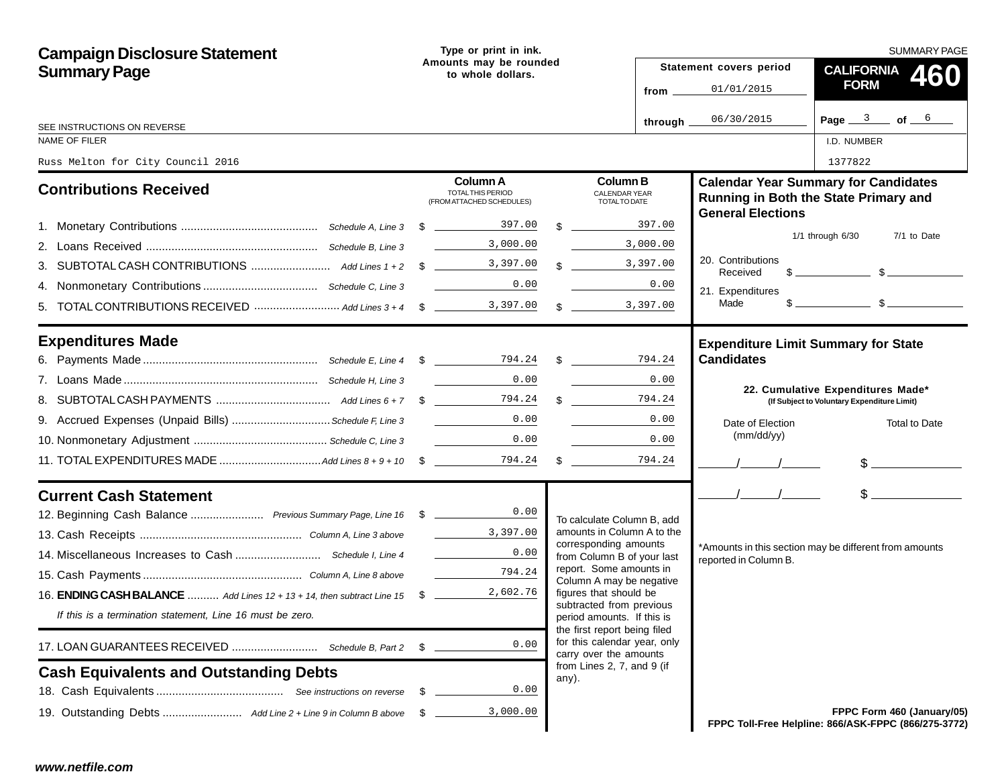| <b>Campaign Disclosure Statement</b>                                            |                                             | Type or print in ink.                                             |  |                                                                                        | <b>SUMMARY PAGE</b> |                                                                                                                                                                                                                                                                                                                     |                                                                                                                                                                                                                                                                                                                     |  |
|---------------------------------------------------------------------------------|---------------------------------------------|-------------------------------------------------------------------|--|----------------------------------------------------------------------------------------|---------------------|---------------------------------------------------------------------------------------------------------------------------------------------------------------------------------------------------------------------------------------------------------------------------------------------------------------------|---------------------------------------------------------------------------------------------------------------------------------------------------------------------------------------------------------------------------------------------------------------------------------------------------------------------|--|
| <b>Summary Page</b>                                                             | Amounts may be rounded<br>to whole dollars. |                                                                   |  |                                                                                        |                     | Statement covers period                                                                                                                                                                                                                                                                                             | <b>CALIFORNIA</b><br>460                                                                                                                                                                                                                                                                                            |  |
|                                                                                 |                                             |                                                                   |  |                                                                                        | from $\equiv$       | 01/01/2015                                                                                                                                                                                                                                                                                                          | <b>FORM</b>                                                                                                                                                                                                                                                                                                         |  |
|                                                                                 |                                             |                                                                   |  |                                                                                        | through $\equiv$    | 06/30/2015                                                                                                                                                                                                                                                                                                          | Page $3$ of $6$                                                                                                                                                                                                                                                                                                     |  |
| SEE INSTRUCTIONS ON REVERSE<br><b>NAME OF FILER</b>                             |                                             |                                                                   |  |                                                                                        |                     |                                                                                                                                                                                                                                                                                                                     | I.D. NUMBER                                                                                                                                                                                                                                                                                                         |  |
| Russ Melton for City Council 2016                                               |                                             |                                                                   |  |                                                                                        |                     |                                                                                                                                                                                                                                                                                                                     | 1377822                                                                                                                                                                                                                                                                                                             |  |
| <b>Contributions Received</b>                                                   |                                             | <b>Column A</b><br>TOTAL THIS PERIOD<br>(FROM ATTACHED SCHEDULES) |  | <b>Column B</b><br><b>CALENDAR YEAR</b><br>TOTAL TO DATE                               |                     | <b>General Elections</b>                                                                                                                                                                                                                                                                                            | <b>Calendar Year Summary for Candidates</b><br>Running in Both the State Primary and                                                                                                                                                                                                                                |  |
|                                                                                 |                                             |                                                                   |  | $\frac{1}{2}$ 397.00                                                                   |                     |                                                                                                                                                                                                                                                                                                                     | $1/1$ through $6/30$<br>7/1 to Date                                                                                                                                                                                                                                                                                 |  |
|                                                                                 |                                             | 3,000.00                                                          |  |                                                                                        | 3,000.00            |                                                                                                                                                                                                                                                                                                                     |                                                                                                                                                                                                                                                                                                                     |  |
|                                                                                 |                                             |                                                                   |  | $\frac{1}{2}$ 3,397.00                                                                 |                     | 20. Contributions<br>Received                                                                                                                                                                                                                                                                                       | $\frac{1}{2}$ $\frac{1}{2}$ $\frac{1}{2}$ $\frac{1}{2}$ $\frac{1}{2}$ $\frac{1}{2}$ $\frac{1}{2}$ $\frac{1}{2}$ $\frac{1}{2}$ $\frac{1}{2}$ $\frac{1}{2}$ $\frac{1}{2}$ $\frac{1}{2}$ $\frac{1}{2}$ $\frac{1}{2}$ $\frac{1}{2}$ $\frac{1}{2}$ $\frac{1}{2}$ $\frac{1}{2}$ $\frac{1}{2}$ $\frac{1}{2}$ $\frac{1}{2}$ |  |
|                                                                                 |                                             | 0.00                                                              |  |                                                                                        | 0.00                | 21. Expenditures                                                                                                                                                                                                                                                                                                    |                                                                                                                                                                                                                                                                                                                     |  |
|                                                                                 |                                             |                                                                   |  | $\frac{1}{2}$ 3,397.00                                                                 |                     | Made                                                                                                                                                                                                                                                                                                                | $\frac{1}{2}$ $\frac{1}{2}$ $\frac{1}{2}$ $\frac{1}{2}$ $\frac{1}{2}$ $\frac{1}{2}$ $\frac{1}{2}$ $\frac{1}{2}$ $\frac{1}{2}$ $\frac{1}{2}$ $\frac{1}{2}$ $\frac{1}{2}$ $\frac{1}{2}$ $\frac{1}{2}$ $\frac{1}{2}$ $\frac{1}{2}$ $\frac{1}{2}$ $\frac{1}{2}$ $\frac{1}{2}$ $\frac{1}{2}$ $\frac{1}{2}$ $\frac{1}{2}$ |  |
| <b>Expenditures Made</b>                                                        |                                             |                                                                   |  |                                                                                        |                     |                                                                                                                                                                                                                                                                                                                     | <b>Expenditure Limit Summary for State</b>                                                                                                                                                                                                                                                                          |  |
|                                                                                 |                                             |                                                                   |  |                                                                                        |                     | <b>Candidates</b>                                                                                                                                                                                                                                                                                                   |                                                                                                                                                                                                                                                                                                                     |  |
|                                                                                 |                                             | 0.00                                                              |  |                                                                                        | 0.00                |                                                                                                                                                                                                                                                                                                                     | 22. Cumulative Expenditures Made*                                                                                                                                                                                                                                                                                   |  |
|                                                                                 |                                             |                                                                   |  | $\mathcal{S}$                                                                          | 794.24              |                                                                                                                                                                                                                                                                                                                     | (If Subject to Voluntary Expenditure Limit)                                                                                                                                                                                                                                                                         |  |
| 9. Accrued Expenses (Unpaid Bills)  Schedule F, Line 3                          |                                             | 0.00                                                              |  |                                                                                        | 0.00                | Date of Election                                                                                                                                                                                                                                                                                                    | <b>Total to Date</b>                                                                                                                                                                                                                                                                                                |  |
|                                                                                 |                                             | 0.00                                                              |  |                                                                                        | 0.00                | (mm/dd/yy)                                                                                                                                                                                                                                                                                                          |                                                                                                                                                                                                                                                                                                                     |  |
|                                                                                 |                                             |                                                                   |  | $\mathbb{S}$                                                                           | 794.24              |                                                                                                                                                                                                                                                                                                                     |                                                                                                                                                                                                                                                                                                                     |  |
| <b>Current Cash Statement</b>                                                   |                                             |                                                                   |  |                                                                                        |                     | $\frac{1}{2}$ $\frac{1}{2}$ $\frac{1}{2}$ $\frac{1}{2}$ $\frac{1}{2}$ $\frac{1}{2}$ $\frac{1}{2}$ $\frac{1}{2}$ $\frac{1}{2}$ $\frac{1}{2}$ $\frac{1}{2}$ $\frac{1}{2}$ $\frac{1}{2}$ $\frac{1}{2}$ $\frac{1}{2}$ $\frac{1}{2}$ $\frac{1}{2}$ $\frac{1}{2}$ $\frac{1}{2}$ $\frac{1}{2}$ $\frac{1}{2}$ $\frac{1}{2}$ | $\frac{1}{2}$                                                                                                                                                                                                                                                                                                       |  |
| 12. Beginning Cash Balance  Previous Summary Page, Line 16 \$                   |                                             | 0.00                                                              |  | To calculate Column B, add                                                             |                     |                                                                                                                                                                                                                                                                                                                     |                                                                                                                                                                                                                                                                                                                     |  |
|                                                                                 |                                             | 3,397.00                                                          |  | amounts in Column A to the                                                             |                     |                                                                                                                                                                                                                                                                                                                     |                                                                                                                                                                                                                                                                                                                     |  |
|                                                                                 |                                             | 0.00                                                              |  | corresponding amounts<br>from Column B of your last                                    |                     | reported in Column B.                                                                                                                                                                                                                                                                                               | *Amounts in this section may be different from amounts                                                                                                                                                                                                                                                              |  |
|                                                                                 |                                             | 794.24                                                            |  | report. Some amounts in<br>Column A may be negative                                    |                     |                                                                                                                                                                                                                                                                                                                     |                                                                                                                                                                                                                                                                                                                     |  |
| 16. <b>ENDING CASH BALANCE</b> Add Lines 12 + 13 + 14, then subtract Line 15 \$ |                                             | 2,602.76                                                          |  | figures that should be                                                                 |                     |                                                                                                                                                                                                                                                                                                                     |                                                                                                                                                                                                                                                                                                                     |  |
| If this is a termination statement, Line 16 must be zero.                       |                                             |                                                                   |  | subtracted from previous<br>period amounts. If this is<br>the first report being filed |                     |                                                                                                                                                                                                                                                                                                                     |                                                                                                                                                                                                                                                                                                                     |  |
|                                                                                 | - \$                                        | 0.00                                                              |  | for this calendar year, only<br>carry over the amounts                                 |                     |                                                                                                                                                                                                                                                                                                                     |                                                                                                                                                                                                                                                                                                                     |  |
| <b>Cash Equivalents and Outstanding Debts</b>                                   |                                             |                                                                   |  | from Lines 2, 7, and 9 (if<br>any).                                                    |                     |                                                                                                                                                                                                                                                                                                                     |                                                                                                                                                                                                                                                                                                                     |  |
|                                                                                 | - \$                                        | 0.00                                                              |  |                                                                                        |                     |                                                                                                                                                                                                                                                                                                                     |                                                                                                                                                                                                                                                                                                                     |  |
|                                                                                 | -SS                                         | 3,000.00                                                          |  |                                                                                        |                     |                                                                                                                                                                                                                                                                                                                     | FPPC Form 460 (January/05)<br>FPPC Toll-Free Helpline: 866/ASK-FPPC (866/275-3772)                                                                                                                                                                                                                                  |  |
| www.netfile.com                                                                 |                                             |                                                                   |  |                                                                                        |                     |                                                                                                                                                                                                                                                                                                                     |                                                                                                                                                                                                                                                                                                                     |  |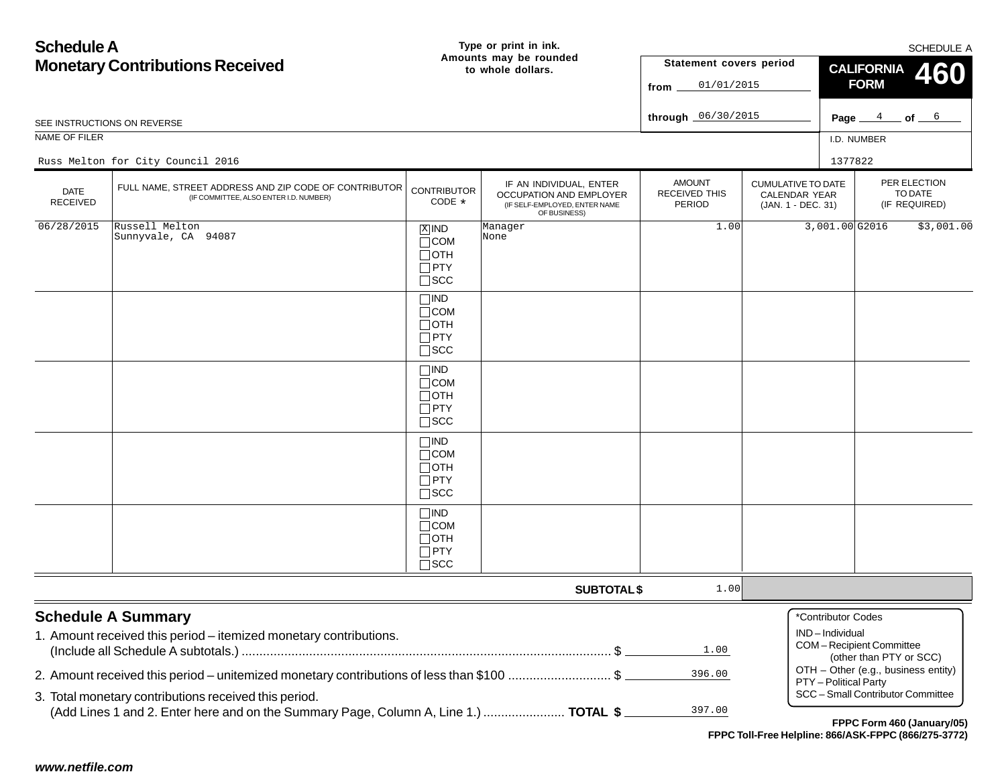| <b>Schedule A</b>                                                                                                                                 |                                                                                                 |                                                                          | Type or print in ink.                                                                               |                                                 |                                                                  | SCHEDULE A                                               |                                                    |                                          |
|---------------------------------------------------------------------------------------------------------------------------------------------------|-------------------------------------------------------------------------------------------------|--------------------------------------------------------------------------|-----------------------------------------------------------------------------------------------------|-------------------------------------------------|------------------------------------------------------------------|----------------------------------------------------------|----------------------------------------------------|------------------------------------------|
|                                                                                                                                                   | <b>Monetary Contributions Received</b>                                                          |                                                                          | Amounts may be rounded<br>to whole dollars.                                                         | Statement covers period                         |                                                                  | <b>CALIFORNIA</b>                                        |                                                    |                                          |
|                                                                                                                                                   |                                                                                                 |                                                                          |                                                                                                     | 01/01/2015<br>from                              | <b>460</b><br><b>FORM</b>                                        |                                                          |                                                    |                                          |
|                                                                                                                                                   |                                                                                                 |                                                                          |                                                                                                     |                                                 |                                                                  |                                                          |                                                    |                                          |
|                                                                                                                                                   | SEE INSTRUCTIONS ON REVERSE                                                                     |                                                                          |                                                                                                     | through 06/30/2015                              |                                                                  |                                                          | Page $4$ of $6$                                    |                                          |
| NAME OF FILER                                                                                                                                     |                                                                                                 |                                                                          |                                                                                                     |                                                 |                                                                  | I.D. NUMBER                                              |                                                    |                                          |
|                                                                                                                                                   | Russ Melton for City Council 2016                                                               |                                                                          |                                                                                                     |                                                 |                                                                  | 1377822                                                  |                                                    |                                          |
| <b>DATE</b><br><b>RECEIVED</b>                                                                                                                    | FULL NAME, STREET ADDRESS AND ZIP CODE OF CONTRIBUTOR<br>(IF COMMITTEE, ALSO ENTER I.D. NUMBER) | <b>CONTRIBUTOR</b><br>CODE *                                             | IF AN INDIVIDUAL, ENTER<br>OCCUPATION AND EMPLOYER<br>(IF SELF-EMPLOYED, ENTER NAME<br>OF BUSINESS) | <b>AMOUNT</b><br><b>RECEIVED THIS</b><br>PERIOD | <b>CUMULATIVE TO DATE</b><br>CALENDAR YEAR<br>(JAN. 1 - DEC. 31) |                                                          |                                                    | PER ELECTION<br>TO DATE<br>(IF REQUIRED) |
| 06/28/2015                                                                                                                                        | Russell Melton<br>Sunnyvale, CA 94087                                                           | $X$ IND<br>$\Box$ COM<br>$\Box$ OTH<br>$\Box$ PTY<br>$\square$ SCC       | Manager<br>None                                                                                     | 1.00                                            |                                                                  | 3,001.00 G2016                                           |                                                    | \$3,001.00                               |
|                                                                                                                                                   |                                                                                                 | $\Box$ IND<br>$\Box$ COM<br>$\Box$ OTH<br>$\Box$ PTY<br>$\square$ SCC    |                                                                                                     |                                                 |                                                                  |                                                          |                                                    |                                          |
|                                                                                                                                                   |                                                                                                 | $\square$ IND<br>$\Box$ COM<br>$\Box$ oth<br>$\Box$ PTY<br>$\square$ SCC |                                                                                                     |                                                 |                                                                  |                                                          |                                                    |                                          |
|                                                                                                                                                   |                                                                                                 | $\Box$ IND<br>$\Box$ COM<br>$\Box$ OTH<br>$\Box$ PTY<br>$\square$ SCC    |                                                                                                     |                                                 |                                                                  |                                                          |                                                    |                                          |
|                                                                                                                                                   |                                                                                                 | $\square$ ind<br>$\Box$ COM<br>$\Box$ OTH<br>$\Box$ PTY<br>$\square$ SCC |                                                                                                     |                                                 |                                                                  |                                                          |                                                    |                                          |
|                                                                                                                                                   |                                                                                                 |                                                                          | <b>SUBTOTAL \$</b>                                                                                  | 1.00                                            |                                                                  |                                                          |                                                    |                                          |
|                                                                                                                                                   | <b>Schedule A Summary</b><br>1. Amount received this period - itemized monetary contributions.  |                                                                          |                                                                                                     | 1.00                                            |                                                                  | *Contributor Codes<br>IND-Individual                     | COM-Recipient Committee<br>(other than PTY or SCC) |                                          |
| 2. Amount received this period – unitemized monetary contributions of less than \$100 \$<br>3. Total monetary contributions received this period. |                                                                                                 |                                                                          |                                                                                                     | 396.00                                          |                                                                  |                                                          | OTH - Other (e.g., business entity)                |                                          |
|                                                                                                                                                   |                                                                                                 |                                                                          |                                                                                                     |                                                 |                                                                  | PTY-Political Party<br>SCC - Small Contributor Committee |                                                    |                                          |
|                                                                                                                                                   | (Add Lines 1 and 2. Enter here and on the Summary Page, Column A, Line 1.)  TOTAL \$            |                                                                          |                                                                                                     | 397.00                                          |                                                                  |                                                          |                                                    |                                          |
|                                                                                                                                                   |                                                                                                 |                                                                          |                                                                                                     |                                                 | FPPC Toll-Free Helpline: 866/ASK-FPPC (866/275-3772)             |                                                          |                                                    | FPPC Form 460 (January/05)               |
|                                                                                                                                                   |                                                                                                 |                                                                          |                                                                                                     |                                                 |                                                                  |                                                          |                                                    |                                          |
| www.netfile.com                                                                                                                                   |                                                                                                 |                                                                          |                                                                                                     |                                                 |                                                                  |                                                          |                                                    |                                          |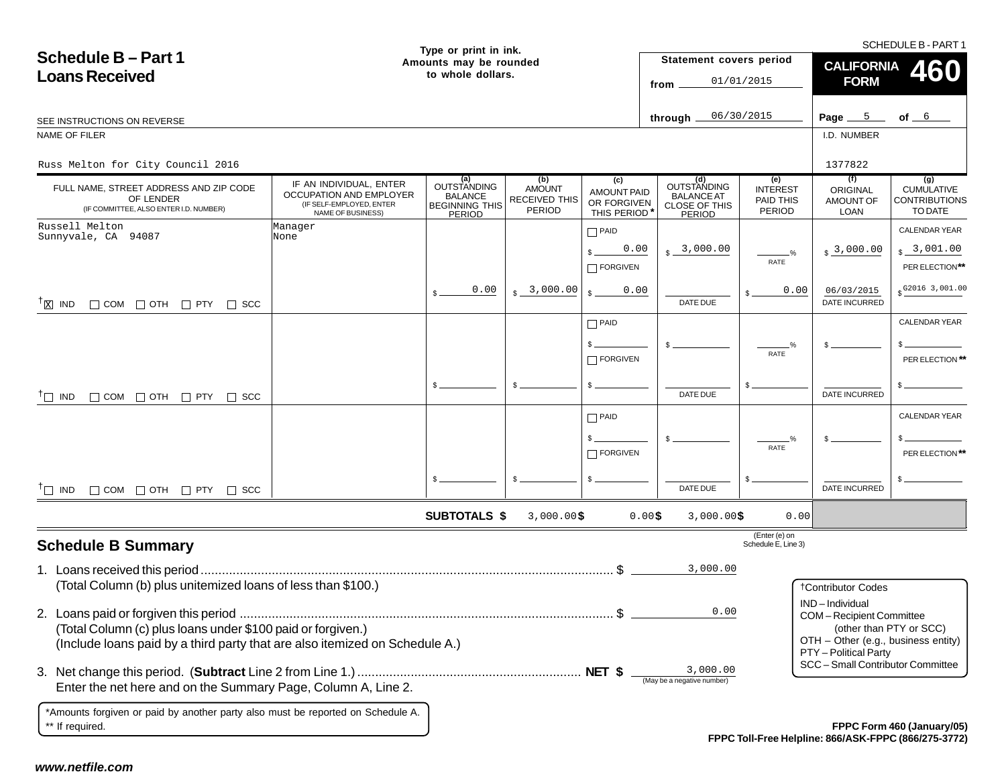xi ind D ||COM ||OTH || PTY || SCC **Statement covers period fromthrough** I.D. NUMBERSCHEDULE B - PART 1 **Type or print in ink. Amounts may be rounded to whole dollars.Schedule B – Part 1Loans Received**Page  $5$  of  $-$ **SUBTOTALS \$** SEE INSTRUCTIONS ON REVERSENAME OF FILER**CALIFORNIA 460 FORM**0 \$ 0.00 \$ 3,000.00 \$ 0.00 IF AN INDIVIDUAL, ENTER OCCUPATION AND EMPLOYER(IF SELF-EMPLOYED, ENTER NAME OF BUSINESS) INTEREST PAID THIS PERIODCUMULATIVECONTRIBUTIONSTO DATEFULL NAME, STREET ADDRESS AND ZIP CODE OF LENDER (IF COMMITTEE, ALSO ENTER I.D. NUMBER) ORIGINAL AMOUNT OFLOAN**OUTSTANDING** BALANCE BEGINNING THISPERIODAMOUNTRECEIVED THISPERIODAMOUNT PAID OR FORGIVEN THIS PERIODOUTSTANDING**(b) (c) (e) (a) (d)** BALANCE AT CLOSE OF THISPERIOD\$ 3,000.00DATE INCURRED (Enter (e) on Schedule E, Line 3) CALENDAR YEAR<sub>\$</sub> \_3,001.00 PER ELECTION**\*\***\$  $O_{\alpha}$ RATE\$ \*Amounts forgiven or paid by another party also must be reported on Schedule A. \*\* If required. **Schedule B Summary** 1. Loans received this period.................................................................................................................... \$ (Total Column (b) plus unitemized loans of less than \$100.) 2. Loans paid or forgiven this period ......................................................................................................... \$ (Total Column (c) plus loans under \$100 paid or forgiven.) (Include loans paid by a third party that are also itemized on Schedule A.) 3. Net change this period. (**Subtract** Line 2 from Line 1.) ............................................................... **NET \$** Enter the net here and on the Summary Page, Column A, Line 2. **Example 2.** (May be a negative number) \$ \$ **(f) (g)** PAID \$  $\Box$  FORGIVEN \$ <sub>\$</sub> \_3,000.00 DATE DUE **\$** \$ DATE INCURRED CALENDAR YEAR\$ PER ELECTION**\*\***\$ %RATE\$ \$ \$ PAID  $s_{-}$  $\Box$  FORGIVEN \$ \$ DATE DUE\$ DATE INCURREDCALENDAR YEAR\$ PER ELECTION **\*\***\$ %RATE\$ \$ PAID \$ FORGIVEN \$ \$ DATE DUE $T\Box$  IND  $\Box$   $\Box$  COM  $\Box$  OTH  $\Box$  PTY  $\Box$  SCC IND  $\Box$  COM  $\Box$  OTH  $\Box$  PTY  $\Box$  SCC **FPPC Form 460 (January/05) \***††† †Contributor CodesIND – IndividualCOM – Recipient Committee (other than PTY or SCC) OTH – Other (e.g., business entity) PTY – Political Party SCC – Small Contributor Committee From  $3127,3318$ <br>
CHE-1201 CONFIDENTIES (CONFIDENTIES (CONFIDENTIES (CONFIDENTIES)<br>
CONFIDENTIES (CONFIDENTIES)<br>
CONFIDENTIES (CONFIDENTIES)<br>
CONFIDENTIES (CONFIDENTIES)<br>
CONFIDENTIES (CONFIDENTIES)<br>
CONFIDENTIES (CONFIDE Russ Melton for City Council 2016 $\sim$  1377822 Russell Melton Sunnyvale, CA 94087ManagerNone0.00 3,000.00 0.000.000.0006/03/2015G2016 3,001.003,000.003,000.000.003,000.00

**FPPC Toll-Free Helpline: 866/ASK-FPPC (866/275-3772)**